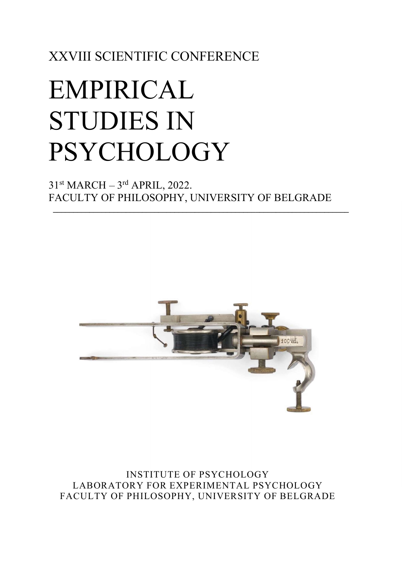XXVIII SCIENTIFIC CONFERENCE

# EMPIRICAL STUDIES IN PSYCHOLOGY

 $31<sup>st</sup> MARCH - 3<sup>rd</sup> APRIL, 2022.$ FACULTY OF PHILOSOPHY, UNIVERSITY OF BELGRADE

 $\_$ 



INSTITUTE OF PSYCHOLOGY LABORATORY FOR EXPERIMENTAL PSYCHOLOGY FACULTY OF PHILOSOPHY, UNIVERSITY OF BELGRADE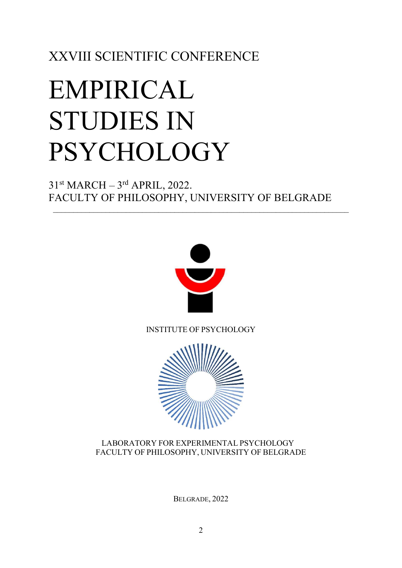XXVIII SCIENTIFIC CONFERENCE

# EMPIRICAL STUDIES IN PSYCHOLOGY

 $31<sup>st</sup> MARCH - 3<sup>rd</sup> APRIL, 2022.$ FACULTY OF PHILOSOPHY, UNIVERSITY OF BELGRADE



INSTITUTE OF PSYCHOLOGY



## LABORATORY FOR EXPERIMENTAL PSYCHOLOGY FACULTY OF PHILOSOPHY, UNIVERSITY OF BELGRADE

BELGRADE, 2022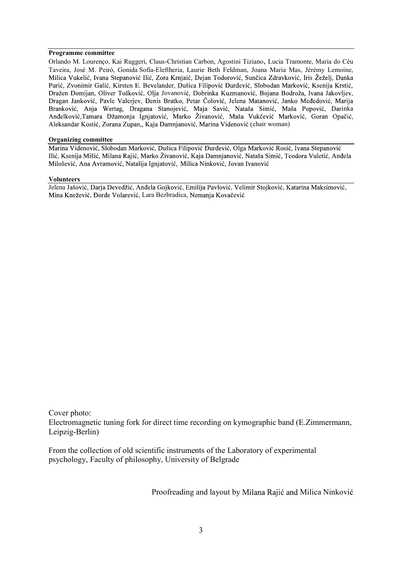#### Programme committee

Orlando M. Lourenço, Kai Ruggeri, Claus-Christian Carbon, Agostini Tiziano, Lucia Tramonte, Maria do Céu Taveira, José M. Peiró, Gonida Sofia-Eleftheria, Laurie Beth Feldman, Joana Maria Mas, Jérémy Lemoine,<br>Milica Vukelić, Ivana Stepanović Ilić, Zora Krnjaić, Dejan Todorović, Sunčica Zdravković, Iris Žeželj, Danka Purić, Zvonimir Galić, Kirsten E. Bevelander, Dušica Filipović Đurđević, Slobodan Marković, Ksenija Krstić, Dražen Domijan, Oliver Tošković, Olja Jovanović, Dobrinka Kuzmanović, Bojana Bodroža, Ivana Jakovljev,<br>Dragan Janković, Pavle Valerjev, Denis Bratko, Petar Čolović, Jelena Matanović, Janko Međedović, Marija Branković, Anja Wertag, Dragana Stanojević, Maja Savić, Nataša Simić, Maša Popović, Darinka Anđelković, Tamara Džamonja Ignjatović, Marko Živanović, Maša Vukčević Marković, Goran Opačić, Aleksandar Kostić, Zorana Zupan,, Kaja Damnjanović, Marina Videnović (chair woman)

#### Organizing committee

Marina Videnović, Slobodan Marković, Dušica Filipović Đurđević, Olga Marković Rosić, Ivana Stepanović Ilić, Ksenija Mišić, Milana Rajić, Marko Živanović, Kaja Damnjanović, Nataša Simić, Teodora Vuletić, Anđela Milošević, Ana Avramović, Natalija Ignjatović, Milica Ninković, Jovan Ivanović

#### Volunteers

Jelena Jašović, Darja Devedžić, Anđela Gojković, Emilija Pavlović, Velimir Stojković, Katarina Maksimović, Mina Knežević, Đorđe Volarević, Lara Bezbradica, Nemanja Kovačević

Cover photo:

Electromagnetic tuning fork for direct time recording on kymographic band (E.Zimmermann, Leipzig-Berlin)

From the collection of old scientific instruments of the Laboratory of experimental psychology, Faculty of philosophy, University of Belgrade

Proofreading and layout by Milana Raiić and Milica Ninković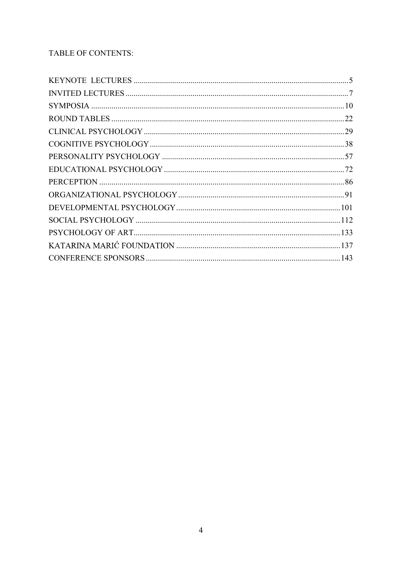## TABLE OF CONTENTS: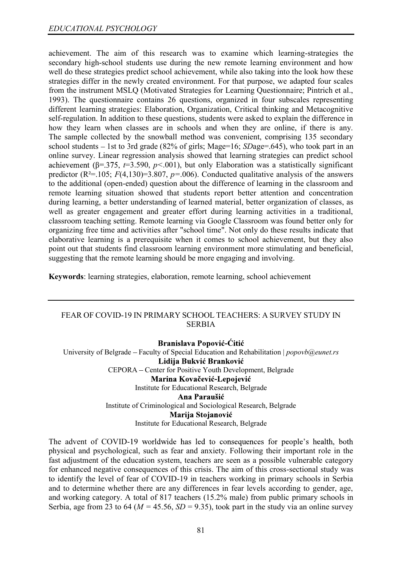achievement. The aim of this research was to examine which learning-strategies the secondary high-school students use during the new remote learning environment and how well do these strategies predict school achievement, while also taking into the look how these strategies differ in the newly created environment. For that purpose, we adapted four scales from the instrument MSLQ (Motivated Strategies for Learning Questionnaire; Pintrich et al., 1993). The questionnaire contains 26 questions, organized in four subscales representing different learning strategies: Elaboration, Organization, Critical thinking and Metacognitive self-regulation. In addition to these questions, students were asked to explain the difference in how they learn when classes are in schools and when they are online, if there is any. The sample collected by the snowball method was convenient, comprising 135 secondary school students  $-1$ st to 3rd grade (82% of girls; Mage=16; SDage=.645), who took part in an online survey. Linear regression analysis showed that learning strategies can predict school achievement ( $\beta$ =.375,  $t=3.590$ ,  $p<.001$ ), but only Elaboration was a statistically significant predictor ( $R^2$ =.105;  $F(4,130)$ =3.807,  $p$ =.006). Conducted qualitative analysis of the answers to the additional (open-ended) question about the difference of learning in the classroom and remote learning situation showed that students report better attention and concentration during learning, a better understanding of learned material, better organization of classes, as well as greater engagement and greater effort during learning activities in a traditional, classroom teaching setting. Remote learning via Google Classroom was found better only for organizing free time and activities after "school time". Not only do these results indicate that elaborative learning is a prerequisite when it comes to school achievement, but they also point out that students find classroom learning environment more stimulating and beneficial, suggesting that the remote learning should be more engaging and involving.

Keywords: learning strategies, elaboration, remote learning, school achievement

### FEAR OF COVID-19 IN PRIMARY SCHOOL TEACHERS: A SURVEY STUDY IN **SERBIA**

**Branislava Popović-Ćitić** University of Belgrade - Faculty of Special Education and Rehabilitation | popovb@eunet.rs Lidija Bukvić Branković CEPORA - Center for Positive Youth Development, Belgrade Marina Kovačević-Lepojević Institute for Educational Research, Belgrade Ana Paraušić Institute of Criminological and Sociological Research, Belgrade Marija Stojanović Institute for Educational Research, Belgrade

The advent of COVID-19 worldwide has led to consequences for people's health, both physical and psychological, such as fear and anxiety. Following their important role in the fast adjustment of the education system, teachers are seen as a possible vulnerable category for enhanced negative consequences of this crisis. The aim of this cross-sectional study was to identify the level of fear of COVID-19 in teachers working in primary schools in Serbia and to determine whether there are any differences in fear levels according to gender, age, and working category. A total of 817 teachers (15.2% male) from public primary schools in Serbia, age from 23 to 64 ( $M = 45.56$ ,  $SD = 9.35$ ), took part in the study via an online survey